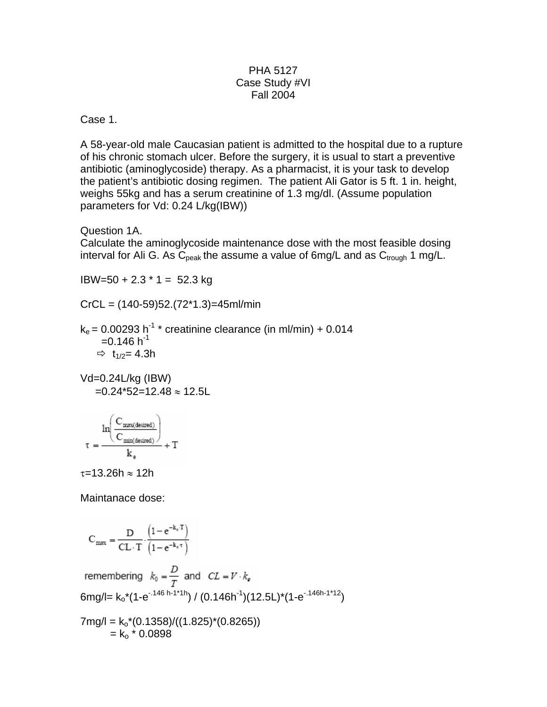## PHA 5127 Case Study #VI Fall 2004

## Case 1.

A 58-year-old male Caucasian patient is admitted to the hospital due to a rupture of his chronic stomach ulcer. Before the surgery, it is usual to start a preventive antibiotic (aminoglycoside) therapy. As a pharmacist, it is your task to develop the patient's antibiotic dosing regimen. The patient Ali Gator is 5 ft. 1 in. height, weighs 55kg and has a serum creatinine of 1.3 mg/dl. (Assume population parameters for Vd: 0.24 L/kg(IBW))

Question 1A.

Calculate the aminoglycoside maintenance dose with the most feasible dosing interval for Ali G. As  $C_{\text{peak}}$  the assume a value of 6mg/L and as  $C_{\text{trough}}$  1 mg/L.

 $IBW=50 + 2.3 * 1 = 52.3 kg$ 

 $CrCL = (140-59)52.(72*1.3)=45ml/min$ 

 $k_e$  = 0.00293 h<sup>-1</sup> \* creatinine clearance (in ml/min) + 0.014  $=0.146$  h<sup>-1</sup>  $\Rightarrow$  t<sub>1/2</sub> = 4.3h

Vd=0.24L/kg (IBW)  $=0.24*52=12.48 \approx 12.5L$ 

$$
\tau = \frac{ln\!\!\left(\frac{C_{\text{max}\text{(desired)}}}{C_{\text{min}\text{(desired)}}}\right)}{k_\text{e}} + T
$$

 $\tau$ =13.26h ≈ 12h

Maintanace dose:

$$
C_{max} = \frac{D}{CL \cdot T} \cdot \frac{\left(1 - e^{-k_e \cdot T}\right)}{\left(1 - e^{-k_e \cdot T}\right)}
$$
  
remembering  $k_0 = \frac{D}{T}$  and  $CL = V \cdot k_e$   
6mg/l =  $k_0 * (1 - e^{-1.146 h - 1 * 1 h}) / (0.146 h^{-1})(12.5L)^*(1 - e^{-1.146 h - 1 * 12})$   
7mg/l =  $k_0 * (0.1358) / ((1.825)^*(0.8265))$   
=  $k_0 * 0.0898$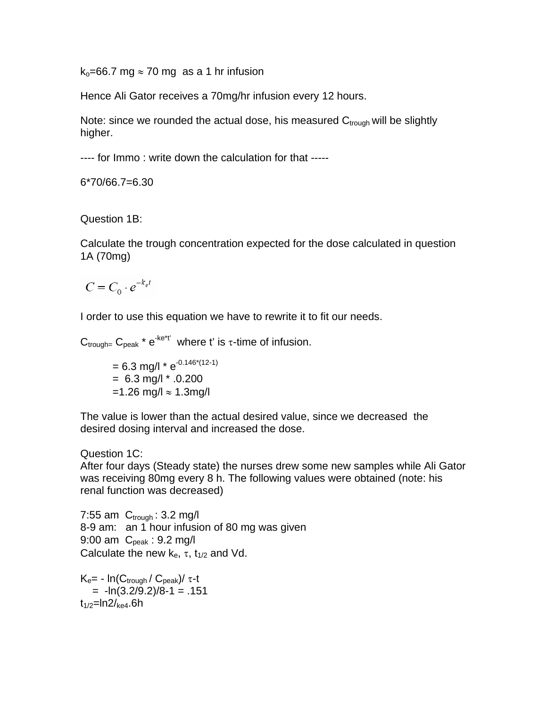$k_0$ =66.7 mg  $\approx$  70 mg as a 1 hr infusion

Hence Ali Gator receives a 70mg/hr infusion every 12 hours.

Note: since we rounded the actual dose, his measured  $C_{\text{trough}}$  will be slightly higher.

---- for Immo : write down the calculation for that -----

6\*70/66.7=6.30

Question 1B:

Calculate the trough concentration expected for the dose calculated in question 1A (70mg)

$$
C = C_0 \cdot e^{-k_e t}
$$

I order to use this equation we have to rewrite it to fit our needs.

 $C_{\text{trough}}$   $C_{\text{peak}}$  \*  $e^{-ke^{*}t'}$  where t' is  $\tau$ -time of infusion.

 $= 6.3$  mg/l  $*$   $e^{-0.146*(12-1)}$  $= 6.3$  mg/l  $* .0.200$  $=1.26$  mg/l ≈ 1.3mg/l

The value is lower than the actual desired value, since we decreased the desired dosing interval and increased the dose.

## Question 1C:

After four days (Steady state) the nurses drew some new samples while Ali Gator was receiving 80mg every 8 h. The following values were obtained (note: his renal function was decreased)

7:55 am  $C_{\text{trough}}$ : 3.2 mg/l 8-9 am: an 1 hour infusion of 80 mg was given 9:00 am  $C_{\text{peak}}$  : 9.2 mg/l Calculate the new  $k_{e}$ ,  $\tau$ ,  $t_{1/2}$  and Vd.

 $K_e$ = -  $In(C_{trough}/C_{peak})/τ-t$  $= -ln(3.2/9.2)/8 - 1 = .151$  $t_{1/2}$ =ln2/<sub>ke4</sub>.6h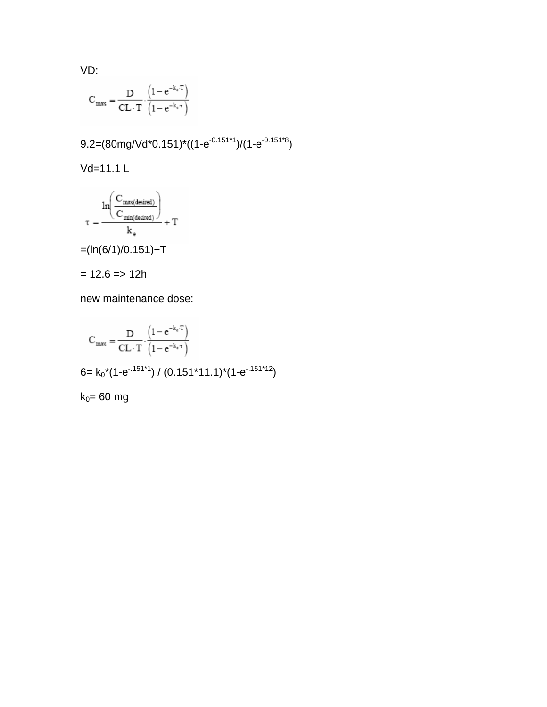VD:

$$
C_{max}=\frac{D}{CL\cdot T}\cdot\frac{\left(1-e^{-k_e\cdot T}\right)}{\left(1-e^{-k_e\cdot \tau}\right)}
$$

$$
9.2=(80mg/Vd*0.151)*(1-e^{-0.151*1})/(1-e^{-0.151*8})
$$

Vd=11.1 L

$$
\tau = \frac{\ln\!\!\left(\frac{C_{\text{max(desired)}}}{C_{\text{min(desired)}}}\right)}{k_e} + T
$$

 $=(ln(6/1)/0.151)+T$ 

$$
= 12.6 \Rightarrow 12h
$$

new maintenance dose:

$$
C_{max} = \frac{D}{CL \cdot T} \cdot \frac{\left(1 - e^{-k_e \cdot T}\right)}{\left(1 - e^{-k_e \cdot \tau}\right)}
$$
  
6=  $k_0 \cdot (1 - e^{-151 \cdot 1}) / (0.151 \cdot 11.1) \cdot (1 - e^{-151 \cdot 12})$   
 $k_0 = 60$  mg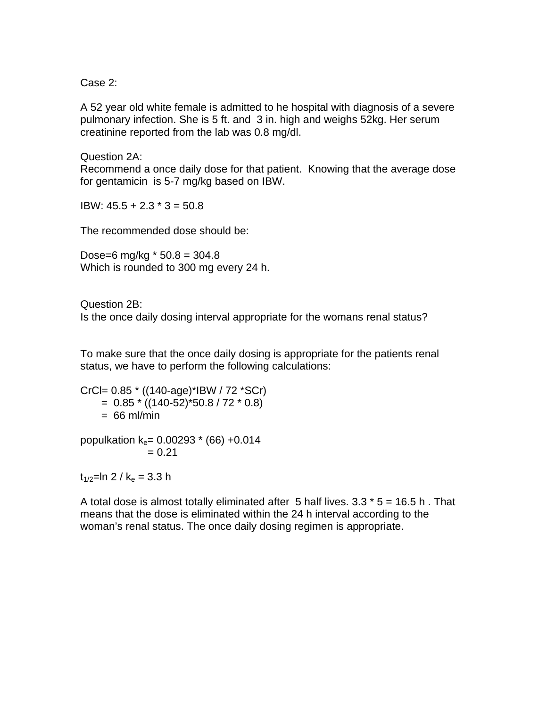Case 2:

A 52 year old white female is admitted to he hospital with diagnosis of a severe pulmonary infection. She is 5 ft. and 3 in. high and weighs 52kg. Her serum creatinine reported from the lab was 0.8 mg/dl.

Question 2A: Recommend a once daily dose for that patient. Knowing that the average dose for gentamicin is 5-7 mg/kg based on IBW.

IBW: 45.5 + 2.3 \* 3 = 50.8

The recommended dose should be:

Dose=6 mg/kg  $*$  50.8 = 304.8 Which is rounded to 300 mg every 24 h.

Question 2B:

Is the once daily dosing interval appropriate for the womans renal status?

To make sure that the once daily dosing is appropriate for the patients renal status, we have to perform the following calculations:

CrCl= 0.85 \* ((140-age)\*IBW / 72 \*SCr)  $= 0.85 * ((140-52)*50.8 / 72 * 0.8)$  $= 66$  ml/min

populkation  $k_e$ = 0.00293  $*$  (66) +0.014  $= 0.21$ 

 $t_{1/2}$ =ln 2 / k<sub>e</sub> = 3.3 h

A total dose is almost totally eliminated after 5 half lives.  $3.3 * 5 = 16.5$  h. That means that the dose is eliminated within the 24 h interval according to the woman's renal status. The once daily dosing regimen is appropriate.